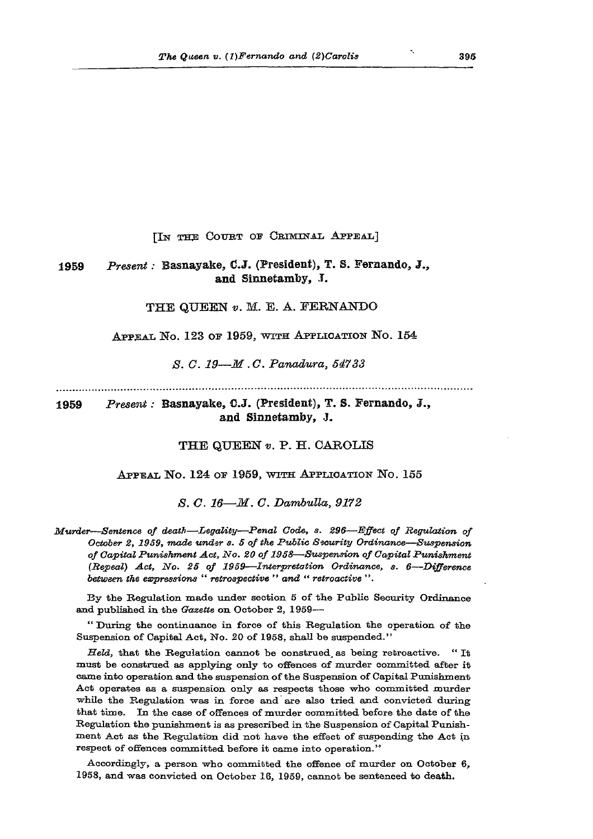[IN THE COURT OF CRIMINAL APPEAL]

## 1959 *Present:* Basnayake, C.J. (President), T. S. Fernando, J., and Sinnetamby, I.

THE QUEEN *v.* M. E. A. FERNANDO

APPEAL No. 123 OF 1959, WITH APPLICATION No.  $154$ 

*S. C. 19—M .C. Panadura, 54733*

1959 *Present:* Basnayake, G.J. (President), T. S. Fernando, J., and Sinnetamby, *J.*

THE QUEEN *v.* P. H. CAROLIS

## APPEAL NO. 124 OF 1959, WITH APPLICATION NO. 155

*S. C. 16***—***M. G. Dambulla***,,** *9172*

*Murder—Sentence of death*—*Legality—Penal Code, s. 296—Effect of Regulation of October 2, 1959, made under s. 5 of the Public Security Ordinance—Suspension of Capital Punishment Act, No. 20 of 1958—Suspension of Capital Punishment (Repeal*) *Act, No. 25 of 1959—Interpretation Ordinance, s. 6—Difference between the depressions* " *retrospective* " *and " retroactive* " .

By the Regulation made under section 5 of the Public Security Ordinance and published in the *Gazette* on October 2, 1959—

" During the continuance in force of this Regulation the operation of the Suspension of Capital Act, No. 20 of 1958, shall be suspended."

*Held,* that the Regulation cannot be construed, as being retroactive. " It must be construed as applying only to offences of murder committed after it came into operation and the suspension of the Suspension of Capital Punishment Act operates as a suspension only as respects those who committed murder while the Regulation was in force and are also tried and convicted during that time. In the case of offences of murder committed before the date of the Regulation the punishment is as prescribed in the Suspension of Capital Punishment Act as the Regulation did not have the effect of suspending the Act in respect of offences committed before it came into operation."

Accordingly, a person who committed the offence of murder on October 6, 1958, and was convicted on October 16, 1959, cannot be sentenced to death.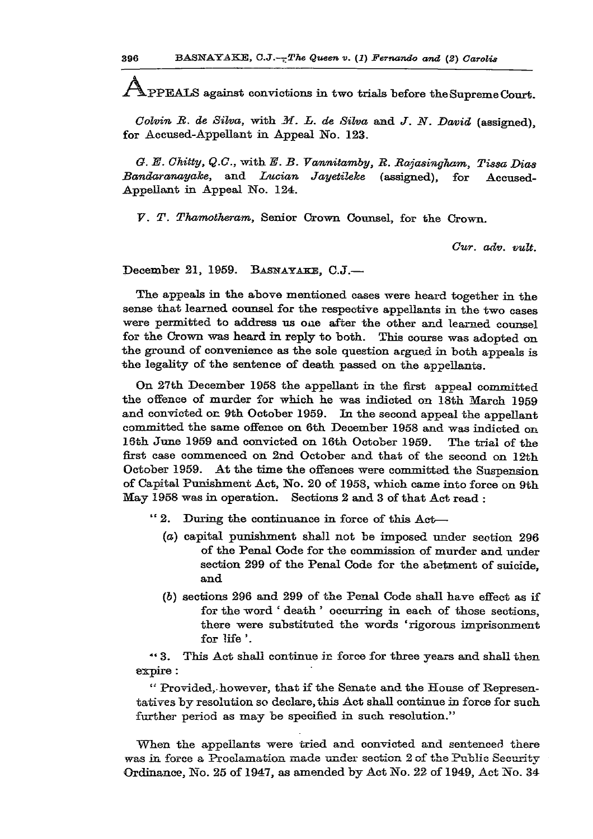**jfApPEALS against convictions in two trials before the Supreme Court.** 

*Golvin B. de Silva,* **with** *M. L. de Silva* **and** *J. N. David* **(assigned), for Accused-Appellant in Appeal No. 123.** 

*G. E. Chitty, Q.G.,* **with** *E. B. Vannitamby, B. Bajasingham, Tissa Dias Bandaranayake,* **and** *Lucian Jayetileke* **(assigned), for Accused-Appellant in Appeal No. 124.** 

*V. T. Thamotheram,* **Senior Crown Counsel, for the Crown.** 

*Cur. adv. vult.* 

**December 21, 1959. BASMAYAEE, C.J.—** 

**The appeals in the above mentioned cases were heard together in the sense that learned counsel for the respective appellants in the two cases were permitted to address us one after the other and learned counsel for the Crown was heard in reply to both. This course was adopted on the ground of convenience as the sole question argued in both appeals is the legality of the sentence of death passed on the appellants.** 

**On 27th December 1958 the appellant in the first appeal committed the offence of murder for which he was indicted on 18th March 1959 and convicted on 9th October 1959. In the second appeal the appellant committed the same offence on 6th December 1958 and was indicted on 16th June 1959 and convicted on I6th October 1959. The trial of the first case commenced on 2nd October and that of the second on 12th October 1959. At the time the offences were committed the Suspension of Capital Pxmishment Act, No. 20 of 1958, which came into force on 9th May 1958 was in operation. Sections 2 and 3 of that Act read :** 

- **"2. During the continuance in force of this Act—** 
	- *(a)* **capital punishment shall not be imposed under section 296 of the Penal Code for the commission of murder and under section 299 of the Penal Code for the abetment of suicide, and**
	- *(b)* **sections 296 and 299 of the Penal Code shall have effect as if for the word ' death ' occurring in each of those sections, there were substituted the words 'rigorous imprisonment for life'.**

**\*\* 3. This Act shall continue in force for three years and shall then expire:** 

**" Provided,-however, that if the Senate and the House of Representatives by resolution so declare, this Act shall continue in force for such further period as may be specified in such resolution."** 

**"When the appellants were tried and convicted and sentenced there was in force a Proclamation made under section 2 of the Public Security Ordinance, No. 25 of 1947, as amended by Act No. 22 of 1949, Act No. 34**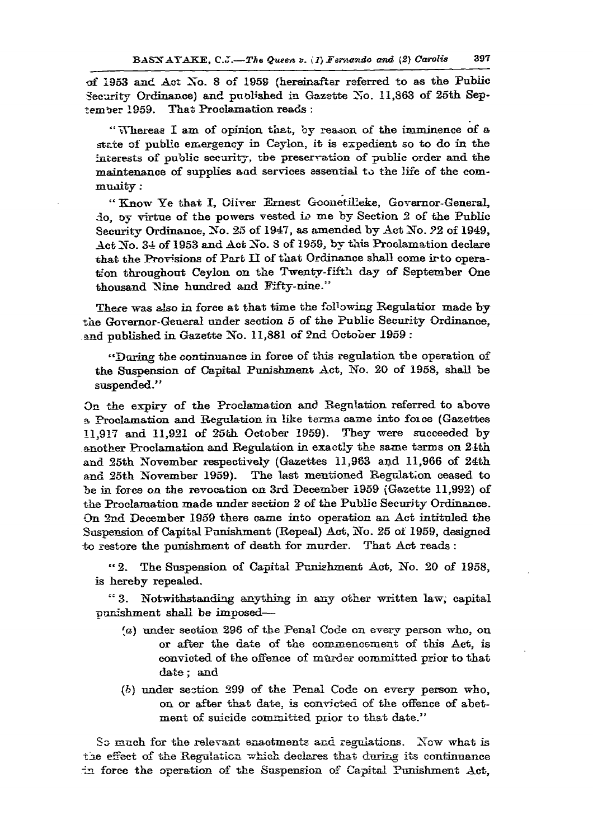**of 1953 and Act No. 8 of 1959 (hereinafter referred to as the Pubiic Security Ordinance) and published in Gazette No. 11,863 of 25th September 1959. That Proclamation reads :** 

**"Whereas I am of opinion that, by reason of the imminence of a stsite of public emergency in Ceylon, it is expedient so to do in the**  interests of public security, the preservation of public order and the **maintenance of supplies aad services essential to the life of the community :** 

**" Know Ye that I, Oliver Ernest Gconerilleke, Governor-General, do, oy virtue of the powers vested** *w* **me by Seetion 2 of the Public Security Ordinance, No. 25 of 1947, as amended by Act No.** *92* **of 1949, Act No. 34 of 1953 and Act No. 8 of 1959, by this Proclamation declare that the Provisions of Part II of that Ordinance shall come irto operation throughout Ceylon on the Twenty-fifth day of September One**  thousand Nine hundred and Fifty-nine."

There was also in force at that time the following Regulatior made by **the Governor-General under section 5 of the Public Security Ordinance, and published in Gazette No. 11,881 of 2nd October 1959 :** 

**"During the continuance in force of this regulation the operation of the Suspension of Capital Punishment Act, No. 20 of 1958, shall be suspended."** 

**On the expiry of the Proclamation and Regulation referred to above a Proclamation and Regulation in like terms came into foice (Gazettes 11,917 and 11,921 of 25th October 1959). They were succeeded by another Proclamation and Regulation in exactly the same terms on 21th and 25th November respectively (Gazettes 11,983 and 11,966 of 24th and 25th November 1959). The last mentioned Regulation ceased to be in force on the revocation on 3rd December 1959 (Gazette 11,992) of the Proclamation made under section 2 of the Public Security Ordinance. On 2nd December 1959 there came into operation an Act intituled the Suspension of Capital Punishment (Repeal) Act, No. 25 of 1959, designed to restore the punishment of death for murder. That Act reads :** 

**" 2. The Suspension of Capital Punishment Act, No. 20 of 1958, is hereby repealed.** 

**"3. Notwithstanding anything in any other written law; capital punishment shall be imposed—** 

- *[a)* **under section 296 of the Penal Code on every person who, on or after the date of the commencement of this Act, is convicted of the offence of murder committed prior to that date; and**
- *(h)* **under seotion 299 of the Penal Code on every person who, on or after that date, is convicted of the offence of abetment of suicide committed prior to that date."**

**So much for the relevant enactments and regulations. Now what is tie effect of the Regulation which declares that during its continuance •in force the operation of the Suspension of Capital Punishment Act,**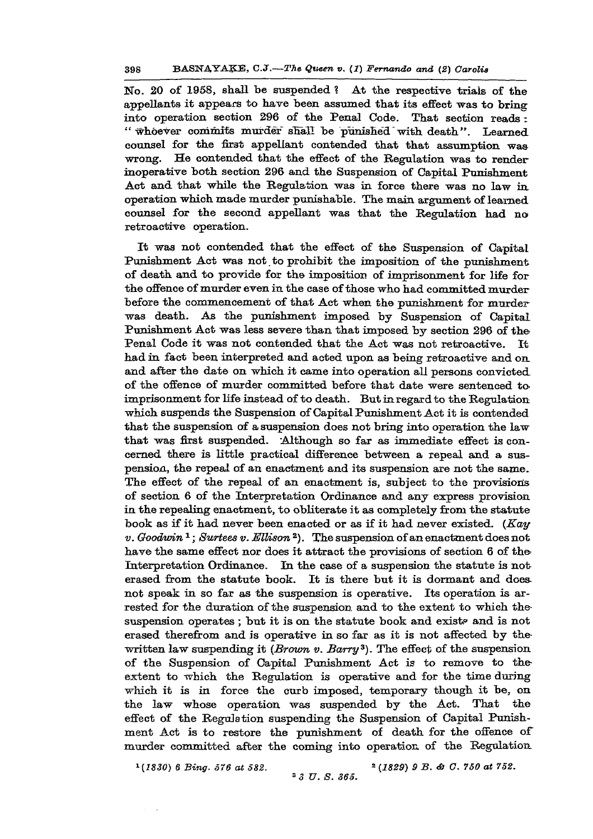**No. 20 of 1958, shall be suspended ? At the respective trials of the appellants it appears to have been assumed that its effect was to brine into operation section 296 of the Penal Code. That section reads: "whoever commits murder shall be punished "with death". Learned counsel for the first appellant contended that that assumption was wrong. He contended that the effect of the Regulation was to render inoperative both section 296 and the Suspension of Capital Punishment Act and that while the Regulation was in force there was no law in operation which made murder punishable. The main argument of learned counsel for the second appellant was that the Regulation had no retroactive operation.** 

**It was not contended that the effect of the Suspension of Capital Punishment Act was not.to prohibit the imposition of the punishment of death and to provide for the imposition of imprisonment for life for the offence of murder even in the case of those who had committed murder before the commencement of that Act when the punishment for murderwas death. As the punishment imposed by Suspension of Capital Punishment Act was less severe than that imposed by section 296 of the Penal Code it was not contended that the Act was not retroactive. It had in fact been interpreted and acted upon as being retroactive and on and after the date on which it came into operation all persons convicted of the offence of murder committed before that date were sentenced to\* imprisonment for life instead of to death. But in regard to the Regulation which suspends the Suspension of Capital Punishment Act it is contended that the suspension of a suspension does not bring into operation the law that was first suspended. Although so far as immediate effect is concerned there is little practical difference between a repeal and a suspension, the repeal of an enactment and its suspension are not the same. The effect of the repeal of an enactment is, subject to the provisions of section 6 of the Interpretation Ordinance and any express provision in the repealing enactment, to obliterate it as completely from the statute book as if it had never been enacted or as if it had never existed.** *(Kay v. Goodwin<sup>1</sup> ; Surtees v. Ellison***<sup>2</sup> ). The suspension of an enactment does not**  have the same effect nor does it attract the provisions of section 6 of the **Interpretation Ordinance. In the case of a suspension the statute is not erased from the statute book. It is there but it is dormant and does not speak in so far as the suspension is operative. Its operation is arrested for the duration of the suspension and to the extent to which the**suspension operates; but it is on the statute book and exists and is not **erased therefrom and is operative in so far as it is not affected by the written law suspending it** *(Brown v. Barry<sup>3</sup> ).* **The effect of the suspension of the Suspension of Capital Punishment Act is to remove to the extent to which the Regulation is operative and for the time during which it is in force the curb imposed, temporary though it be, on the law whose operation was suspended by the Act. That the effect of the Regulation suspending the Suspension of Capital Punishment Act is to restore the punishment of death for the offence of murder committed after the coming into operation of the Regulation** 

<sup>1</sup>(1830) 6 Bing. 576 at 582.

*3 3 V. S. 365.* 

*(1830) 6 Bing. 576 at 582. - (1829) 9 B. & G. 750 at 752.*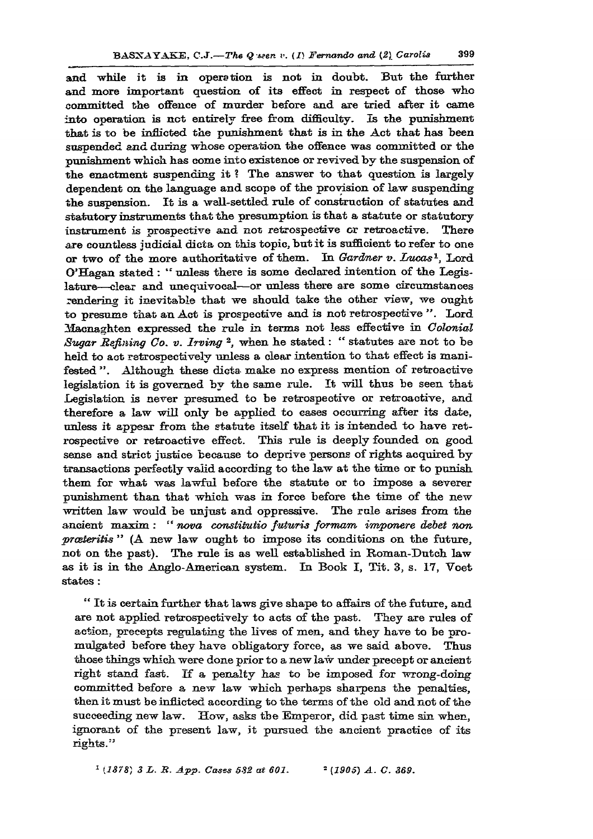and while it is in operation is not in doubt. But the further **and more important question of its effect in respect of those who committed the offence of murder before and are tried after it came into operation is not entirely free from difficulty. Is the punishment that is to be inflicted the punishment that is in the Act that has been suspended and during whose operation the offence was committed or the punishment which has come into existence or revived by the suspension of the enactment suspending it ? The answer to that question is largely dependent on the language and scope of the provision of law suspending the suspension. It is a well-settled rule of construction of statutes and statutory instruments that the presumption is that a statute or statutory instrument is prospective and not retrospective or retroactive. There are countless judicial dicta on this topic, but it is sufficient to refer to one or two of the more authoritative of them. In** *Gardner v. Lucas'<sup>1</sup> ,* **Lord O'Hagan stated: " unless there is some declared intention of the Legis**lature—clear and unequivocal—or unless there are some circumstances **rendering it inevitable that we should take the other view, we ought to presume that an Act is prospective and is not retrospective ". Lord Macnaghten expressed the rule in terms not less effective in** *Colonial*  Sugar Refining Co. v. Irving<sup>2</sup>, when he stated: " statutes are not to be **held to act retrospectively unless a clear intention to that effect is manifested ". Although these dicta make no express mention of retroactive legislation it is governed by the same rule. It will thus be seen that Legislation is never presumed to be retrospective or retroactive, and therefore a law will only be applied to cases occurring after its date, unless it appear from the statute itself that it is intended to have retrospective or retroactive effect. This rule is deeply founded on good sense and strict justice because to deprive persons of rights acquired by transactions perfectly valid according to the law at the time or to punish them for what was lawful before the statute or to impose a severer punishment than that which was in force before the time of the new written law would be unjust and oppressive. The rule arises from the ancient maxim : "** *nova constiinitio futuris formam imponere debet non prceteritis "* **(A new law ought to impose its conditions on the future, not on the past). The rule is as well established in Roman-Dutch law as it is in the Anglo-American system. In Book I, Tit. 3, s. 17, Voet states:** 

**" It is certain further that laws give shape to affairs of the future, and are not applied retrospectively to acts of the past. They are rules of action, precepts regulating the lives of men, and they have to be promulgated before they have obligatory force, as we said above. Thus those things which were done prior to a new law under precept or ancient right stand fast. If a penalty has to be imposed for wrong-doing committed before a new law which perhaps sharpens the penalties, then it must be inflicted according to the terms of the old and not of the suceeeding new law. How, asks the Emperor, did past time sin when, ignorant of the present law, it pursued the ancient practice of its**   $\mathbf{right}$ s.''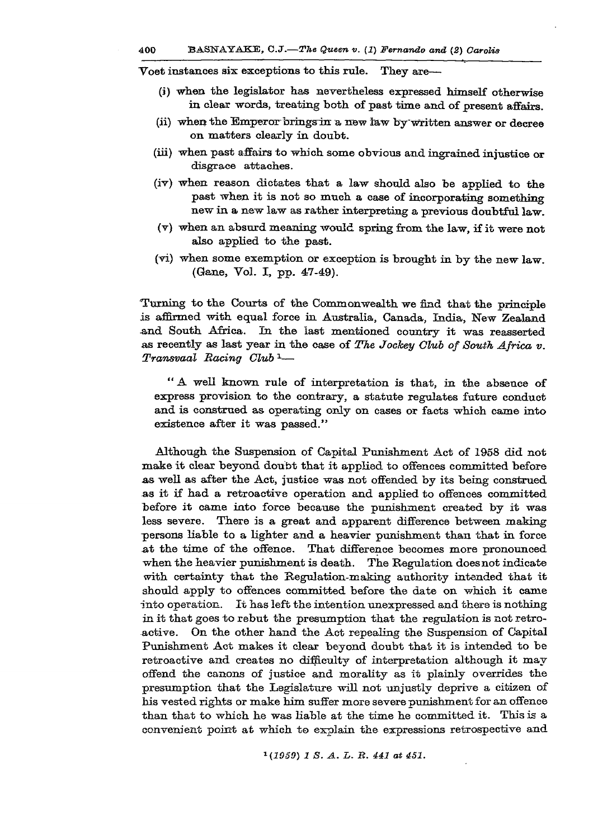**Voet instances sis exceptions to this rule. They are—** 

- **(i) when the legislator has nevertheless expressed himself otherwise in clear words, treating both of past time and of present affairs.**
- **(ii) when the Emperor bringsin a new law by"written answer or decree on matters clearly in doubt.**
- **(iii) when past affairs to which some obvious and ingrained injustice or disgrace attaches.**
- **(iv) when reason dictates that a law should also be applied to the past when it is not so much a case of incorporating something new in a new law as rather interpreting a previous doubtful law.**
- **(v) when an absurd meaning would spring from the law, if it were not also applied to the past.**
- **(vi) when some exemption or exception is brought in by the new law. (Gane, Vol. I, pp. 47-49).**

**Turning to the Courts of the Commonwealth we find that the principle is affirmed with equal force in Australia, Canada, India, New Zealand and South Africa. In the last mentioned country it was reasserted as recently as last year in the case of** *The Jockey Club of South Africa v. Transvaal Racing Club1—* 

**"A well known rule of interpretation is that, in the absence of express provision to the contrary, a statute regulates future conduct and is construed as operating only on cases or facts which came into existence after it was passed."** 

**Although the Suspension of Capital Punishment Act of 1958 did not make it clear beyond doubt that it applied to offences committed before as well as after the Act, justice was not offended by its being construed as it if had a retroactive operation and applied to offences committed before it came into force because the punishment created by it was less severe. There is a great and apparent difference between making persons liable to a lighter and a heavier punishment than that in force at the time of the offence. That difference becomes more pronounced when the heavier punishment is death. The Regulation does not indicate with certainty that the Regulation-making authority intended that it should apply to offences committed before the date on which it came into operation. It has left the intention unexpressed and there is nothing in it that goes to rebut the presumption that the regulation is not retroactive. On the other hand the Act repealing the Suspension of Capital Punishment Act makes it clear beyond doubt that it is intended to be retroactive and creates no difficulty of interpretation although it may offend the canons of justice and morality as it plainly overrides the presumption that the Legislature will not unjustly deprive a citizen of his vested rights or make him suffer more severe punishment for an offence than that to which he was liable at the time he committed it. This is a convenient point at which to explain the expressions retrospective and** 

*1 {1059) 1 S. A. L. B. 441 at 451.*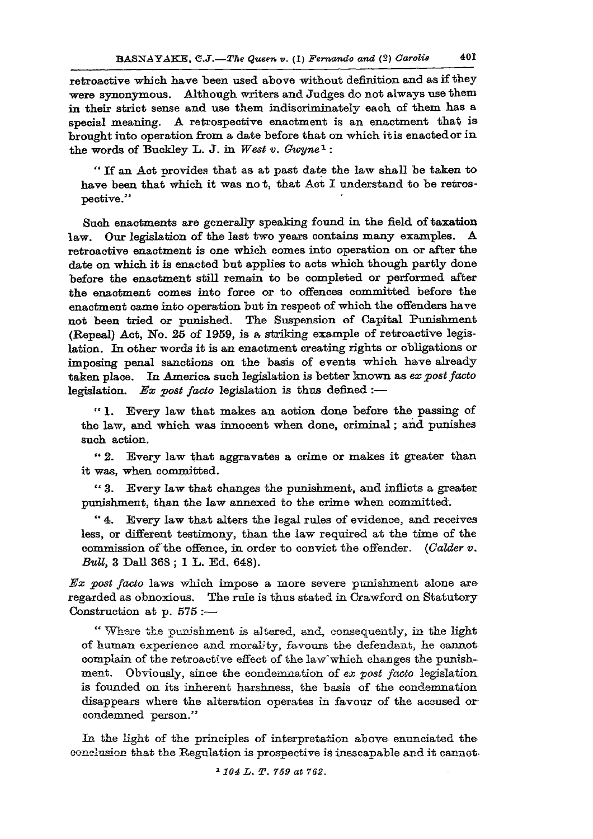**retroactive which have been used above without definition and as if they were synonymous. Although writers and Judges do not always use them in their strict sense and use them mdiscriminately each of them has a special meaning. A retrospective enactment is an enactment that is brought into operation from a date before that on which itis enacted or in**  the words of Buckley L. J. in West v. Gwyne<sup>1</sup>:

**" If an Act provides that as at past date the law shall be taken to have been that which it was not, that Act I understand to be retrospective."** 

**Such enactments are generally speaking found in the field of taxation**  law. Our legislation of the last two years contains many examples. **retroactive enactment is one which comes into operation on or after the date on which it is enacted but applies to acts which though partly done before the enactment still remain to be completed or performed after the enactment comes into force or to offences committed before the enactment came into operation but in respect of which the offenders have not been tried or punished. The Suspension of Capital Punishment (Repeal) Act, No. 25 of 1959, is a striking example of retroactive legislation. In other words it is an enactment creating rights or obligations or imposing penal sanctions on the basis of events which have already taken place. In America such legislation is better known as** *ex post facto*  **legislation.** *Ex post facto* legislation is thus defined :-

**" 1. Every law that makes an action done before the passing of the law, and which was innocent when done, criminal; and punishes such action.** 

**" 2. Every law that aggravates a crime or makes it greater than it was, when committed.** 

**" 3. Every law that changes the punishment, and inflicts a greater punishment, than the law annexed to the crime when committed.** 

**" 4. Every law that alters the legal rules of evidence, and receives less, or different testimony, than the law required at the time of the commission of the offence, in order to convict the offender.** *(Colder v. BvU,* **3 DaU 368 ; 1 L. Ed. 648).** 

*Ex post facto* **laws which impose a more severe punishment alone are regarded as obnoxious. The rule is thus stated in Crawford on Statutory Construction at p. 575 :—** 

**" Where the punishment is altered, and, consequently, in the light of human experience and morality, favours the defendant, he cannot complain of the retroactive effect of the law" which changes the punishment. Obviously, since the condemnation of** *ex post facto* **legislation, is founded on its inherent harshness, the basis of the condemnation disappears where the alteration operates in favour of the accused or condemned person."** 

**In the light of the principles of interpretation above enunciated the conclusion that the Regulation is prospective is inescapable and it cannot-**